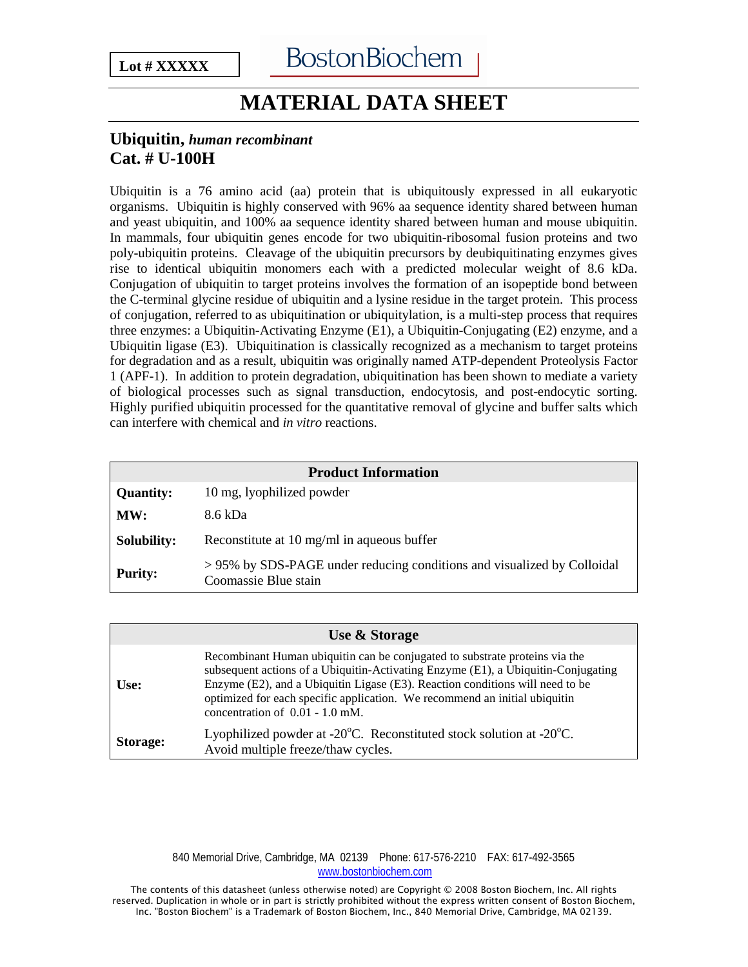## **MATERIAL DATA SHEET**

## **Ubiquitin,** *human recombinant* **Cat. # U-100H**

Ubiquitin is a 76 amino acid (aa) protein that is ubiquitously expressed in all eukaryotic organisms. Ubiquitin is highly conserved with 96% aa sequence identity shared between human and yeast ubiquitin, and 100% aa sequence identity shared between human and mouse ubiquitin. In mammals, four ubiquitin genes encode for two ubiquitin-ribosomal fusion proteins and two poly-ubiquitin proteins. Cleavage of the ubiquitin precursors by deubiquitinating enzymes gives rise to identical ubiquitin monomers each with a predicted molecular weight of 8.6 kDa. Conjugation of ubiquitin to target proteins involves the formation of an isopeptide bond between the C-terminal glycine residue of ubiquitin and a lysine residue in the target protein. This process of conjugation, referred to as ubiquitination or ubiquitylation, is a multi-step process that requires three enzymes: a Ubiquitin-Activating Enzyme (E1), a Ubiquitin-Conjugating (E2) enzyme, and a Ubiquitin ligase (E3). Ubiquitination is classically recognized as a mechanism to target proteins for degradation and as a result, ubiquitin was originally named ATP-dependent Proteolysis Factor 1 (APF-1). In addition to protein degradation, ubiquitination has been shown to mediate a variety of biological processes such as signal transduction, endocytosis, and post-endocytic sorting. Highly purified ubiquitin processed for the quantitative removal of glycine and buffer salts which can interfere with chemical and *in vitro* reactions.

| <b>Product Information</b> |                                                                                                |  |
|----------------------------|------------------------------------------------------------------------------------------------|--|
| <b>Quantity:</b>           | 10 mg, lyophilized powder                                                                      |  |
| MW:                        | 8.6 kDa                                                                                        |  |
| <b>Solubility:</b>         | Reconstitute at 10 mg/ml in aqueous buffer                                                     |  |
| <b>Purity:</b>             | >95% by SDS-PAGE under reducing conditions and visualized by Colloidal<br>Coomassie Blue stain |  |

|          | Use & Storage                                                                                                                                                                                                                                                                                                                                                        |
|----------|----------------------------------------------------------------------------------------------------------------------------------------------------------------------------------------------------------------------------------------------------------------------------------------------------------------------------------------------------------------------|
| Use:     | Recombinant Human ubiquitin can be conjugated to substrate proteins via the<br>subsequent actions of a Ubiquitin-Activating Enzyme (E1), a Ubiquitin-Conjugating<br>Enzyme (E2), and a Ubiquitin Ligase (E3). Reaction conditions will need to be<br>optimized for each specific application. We recommend an initial ubiquitin<br>concentration of $0.01 - 1.0$ mM. |
| Storage: | Lyophilized powder at -20 $^{\circ}$ C. Reconstituted stock solution at -20 $^{\circ}$ C.<br>Avoid multiple freeze/thaw cycles.                                                                                                                                                                                                                                      |

840 Memorial Drive, Cambridge, MA 02139 Phone: 617-576-2210 FAX: 617-492-3565 [www.bostonbiochem.com](http://www.bostonbiochem.com/)

The contents of this datasheet (unless otherwise noted) are Copyright © 2008 Boston Biochem, Inc. All rights reserved. Duplication in whole or in part is strictly prohibited without the express written consent of Boston Biochem, Inc. "Boston Biochem" is a Trademark of Boston Biochem, Inc., 840 Memorial Drive, Cambridge, MA 02139.